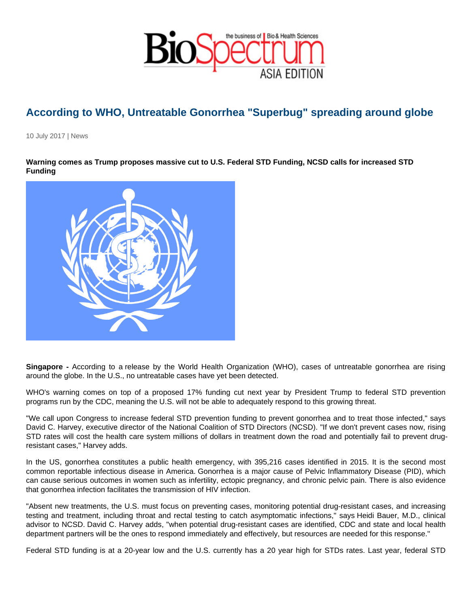## According to WHO, Untreatable Gonorrhea "Superbug" spreading around globe

10 July 2017 | News

Warning comes as Trump proposes massive cut to U.S. Federal STD Funding, NCSD calls for increased STD Funding

Singapore - According to a release by the World Health Organization (WHO), cases of untreatable gonorrhea are rising around the globe. In the U.S., no untreatable cases have yet been detected.

WHO's warning comes on top of a proposed 17% funding cut next year by President Trump to federal STD prevention programs run by the CDC, meaning the U.S. will not be able to adequately respond to this growing threat.

"We call upon Congress to increase federal STD prevention funding to prevent gonorrhea and to treat those infected," says David C. Harvey, executive director of the National Coalition of STD Directors (NCSD). "If we don't prevent cases now, rising STD rates will cost the health care system millions of dollars in treatment down the road and potentially fail to prevent drugresistant cases," Harvey adds.

In the US, gonorrhea constitutes a public health emergency, with 395,216 cases identified in 2015. It is the second most common reportable infectious disease in America. Gonorrhea is a major cause of Pelvic Inflammatory Disease (PID), which can cause serious outcomes in women such as infertility, ectopic pregnancy, and chronic pelvic pain. There is also evidence that gonorrhea infection facilitates the transmission of HIV infection.

"Absent new treatments, the U.S. must focus on preventing cases, monitoring potential drug-resistant cases, and increasing testing and treatment, including throat and rectal testing to catch asymptomatic infections," says Heidi Bauer, M.D., clinical advisor to NCSD. David C. Harvey adds, "when potential drug-resistant cases are identified, CDC and state and local health department partners will be the ones to respond immediately and effectively, but resources are needed for this response."

Federal STD funding is at a 20-year low and the U.S. currently has a 20 year high for STDs rates. Last year, federal STD